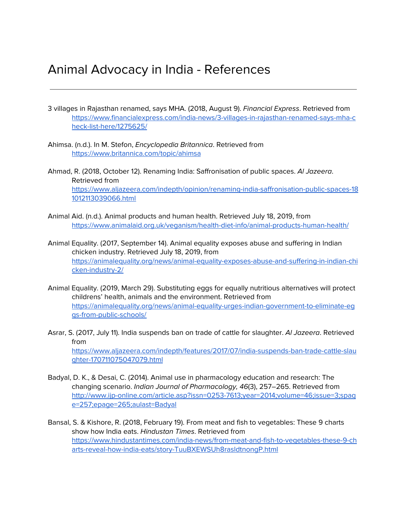## Animal Advocacy in India - References

3 villages in Rajasthan renamed, says MHA. (2018, August 9). Financial Express. Retrieved from [https://www.financialexpress.com/india-news/3-villages-in-rajasthan-renamed-says-mha-c](https://www.financialexpress.com/india-news/3-villages-in-rajasthan-renamed-says-mha-check-list-here/1275625/) [heck-list-here/1275625/](https://www.financialexpress.com/india-news/3-villages-in-rajasthan-renamed-says-mha-check-list-here/1275625/)

- Ahimsa. (n.d.). In M. Stefon, Encyclopedia Britannica. Retrieved from <https://www.britannica.com/topic/ahimsa>
- Ahmad, R. (2018, October 12). Renaming India: Saffronisation of public spaces. Al Jazeera. Retrieved from [https://www.aljazeera.com/indepth/opinion/renaming-india-saffronisation-public-spaces-18](https://www.aljazeera.com/indepth/opinion/renaming-india-saffronisation-public-spaces-181012113039066.html) [1012113039066.html](https://www.aljazeera.com/indepth/opinion/renaming-india-saffronisation-public-spaces-181012113039066.html)
- Animal Aid. (n.d.). Animal products and human health. Retrieved July 18, 2019, from <https://www.animalaid.org.uk/veganism/health-diet-info/animal-products-human-health/>
- Animal Equality. (2017, September 14). Animal equality exposes abuse and suffering in Indian chicken industry. Retrieved July 18, 2019, from [https://animalequality.org/news/animal-equality-exposes-abuse-and-suffering-in-indian-chi](https://animalequality.org/news/animal-equality-exposes-abuse-and-suffering-in-indian-chicken-industry-2/) [cken-industry-2/](https://animalequality.org/news/animal-equality-exposes-abuse-and-suffering-in-indian-chicken-industry-2/)
- Animal Equality. (2019, March 29). Substituting eggs for equally nutritious alternatives will protect childrens' health, animals and the environment. Retrieved from [https://animalequality.org/news/animal-equality-urges-indian-government-to-eliminate-eg](https://animalequality.org/news/animal-equality-urges-indian-government-to-eliminate-eggs-from-public-schools/) [gs-from-public-schools/](https://animalequality.org/news/animal-equality-urges-indian-government-to-eliminate-eggs-from-public-schools/)
- Asrar, S. (2017, July 11). India suspends ban on trade of cattle for slaughter. Al Jazeera. Retrieved from [https://www.aljazeera.com/indepth/features/2017/07/india-suspends-ban-trade-cattle-slau](https://www.aljazeera.com/indepth/features/2017/07/india-suspends-ban-trade-cattle-slaughter-170711075047079.html) [ghter-170711075047079.html](https://www.aljazeera.com/indepth/features/2017/07/india-suspends-ban-trade-cattle-slaughter-170711075047079.html)
- Badyal, D. K., & Desai, C. (2014). Animal use in pharmacology education and research: The changing scenario. Indian Journal of Pharmacology, 46(3), 257–265. Retrieved from [http://www.ijp-online.com/article.asp?issn=0253-7613;year=2014;volume=46;issue=3;spag](http://www.ijp-online.com/article.asp?issn=0253-7613;year=2014;volume=46;issue=3;spage=257;epage=265;aulast=Badyal) [e=257;epage=265;aulast=Badyal](http://www.ijp-online.com/article.asp?issn=0253-7613;year=2014;volume=46;issue=3;spage=257;epage=265;aulast=Badyal)
- Bansal, S. & Kishore, R. (2018, February 19). From meat and fish to vegetables: These 9 charts show how India eats. Hindustan Times. Retrieved from [https://www.hindustantimes.com/india-news/from-meat-and-fish-to-vegetables-these-9-ch](https://www.hindustantimes.com/india-news/from-meat-and-fish-to-vegetables-these-9-charts-reveal-how-india-eats/story-TuuBXEWSUh8rasldtnongP.html) [arts-reveal-how-india-eats/story-TuuBXEWSUh8rasldtnongP.html](https://www.hindustantimes.com/india-news/from-meat-and-fish-to-vegetables-these-9-charts-reveal-how-india-eats/story-TuuBXEWSUh8rasldtnongP.html)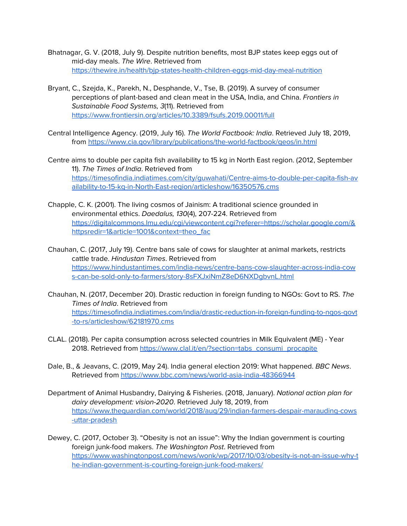- Bhatnagar, G. V. (2018, July 9). Despite nutrition benefits, most BJP states keep eggs out of mid-day meals. The Wire. Retrieved from <https://thewire.in/health/bjp-states-health-children-eggs-mid-day-meal-nutrition>
- Bryant, C., Szejda, K., Parekh, N., Desphande, V., Tse, B. (2019). A survey of consumer perceptions of plant-based and clean meat in the USA, India, and China. Frontiers in Sustainable Food Systems, 3(11). Retrieved from <https://www.frontiersin.org/articles/10.3389/fsufs.2019.00011/full>
- Central Intelligence Agency. (2019, July 16). The World Factbook: India. Retrieved July 18, 2019, from <https://www.cia.gov/library/publications/the-world-factbook/geos/in.html>
- Centre aims to double per capita fish availability to 15 kg in North East region. (2012, September 11). The Times of India. Retrieved from [https://timesofindia.indiatimes.com/city/guwahati/Centre-aims-to-double-per-capita-fish-av](https://timesofindia.indiatimes.com/city/guwahati/Centre-aims-to-double-per-capita-fish-availability-to-15-kg-in-North-East-region/articleshow/16350576.cms) [ailability-to-15-kg-in-North-East-region/articleshow/16350576.cms](https://timesofindia.indiatimes.com/city/guwahati/Centre-aims-to-double-per-capita-fish-availability-to-15-kg-in-North-East-region/articleshow/16350576.cms)
- Chapple, C. K. (2001). The living cosmos of Jainism: A traditional science grounded in environmental ethics. Daedalus, 130(4), 207-224. Retrieved from [https://digitalcommons.lmu.edu/cgi/viewcontent.cgi?referer=https://scholar.google.com/&](https://digitalcommons.lmu.edu/cgi/viewcontent.cgi?referer=https://scholar.google.com/&httpsredir=1&article=1001&context=theo_fac) [httpsredir=1&article=1001&context=theo\\_fac](https://digitalcommons.lmu.edu/cgi/viewcontent.cgi?referer=https://scholar.google.com/&httpsredir=1&article=1001&context=theo_fac)

Chauhan, C. (2017, July 19). Centre bans sale of cows for slaughter at animal markets, restricts cattle trade. Hindustan Times. Retrieved from [https://www.hindustantimes.com/india-news/centre-bans-cow-slaughter-across-india-cow](https://www.hindustantimes.com/india-news/centre-bans-cow-slaughter-across-india-cows-can-be-sold-only-to-farmers/story-8sFXJxiNmZ8eD6NXDgbvnL.html) [s-can-be-sold-only-to-farmers/story-8sFXJxiNmZ8eD6NXDgbvnL.html](https://www.hindustantimes.com/india-news/centre-bans-cow-slaughter-across-india-cows-can-be-sold-only-to-farmers/story-8sFXJxiNmZ8eD6NXDgbvnL.html)

- Chauhan, N. (2017, December 20). Drastic reduction in foreign funding to NGOs: Govt to RS. The Times of India. Retrieved from [https://timesofindia.indiatimes.com/india/drastic-reduction-in-foreign-funding-to-ngos-govt](https://timesofindia.indiatimes.com/india/drastic-reduction-in-foreign-funding-to-ngos-govt-to-rs/articleshow/62181970.cms) [-to-rs/articleshow/62181970.cms](https://timesofindia.indiatimes.com/india/drastic-reduction-in-foreign-funding-to-ngos-govt-to-rs/articleshow/62181970.cms)
- CLAL. (2018). Per capita consumption across selected countries in Milk Equivalent (ME) Year 2018. Retrieved from [https://www.clal.it/en/?section=tabs\\_consumi\\_procapite](https://www.clal.it/en/?section=tabs_consumi_procapite)
- Dale, B., & Jeavans, C. (2019, May 24). India general election 2019: What happened. BBC News. Retrieved from <https://www.bbc.com/news/world-asia-india-48366944>
- Department of Animal Husbandry, Dairying & Fisheries. (2018, January). National action plan for dairy development: vision-2020. Retrieved July 18, 2019, from [https://www.theguardian.com/world/2018/aug/29/indian-farmers-despair-marauding-cows](https://www.theguardian.com/world/2018/aug/29/indian-farmers-despair-marauding-cows-uttar-pradesh) [-uttar-pradesh](https://www.theguardian.com/world/2018/aug/29/indian-farmers-despair-marauding-cows-uttar-pradesh)
- Dewey, C. (2017, October 3). "Obesity is not an issue": Why the Indian government is courting foreign junk-food makers. The Washington Post. Retrieved from [https://www.washingtonpost.com/news/wonk/wp/2017/10/03/obesity-is-not-an-issue-why-t](https://www.washingtonpost.com/news/wonk/wp/2017/10/03/obesity-is-not-an-issue-why-the-indian-government-is-courting-foreign-junk-food-makers/?noredirect=on&utm_term=.d621ef9bb6fb) [he-indian-government-is-courting-foreign-junk-food-makers/](https://www.washingtonpost.com/news/wonk/wp/2017/10/03/obesity-is-not-an-issue-why-the-indian-government-is-courting-foreign-junk-food-makers/?noredirect=on&utm_term=.d621ef9bb6fb)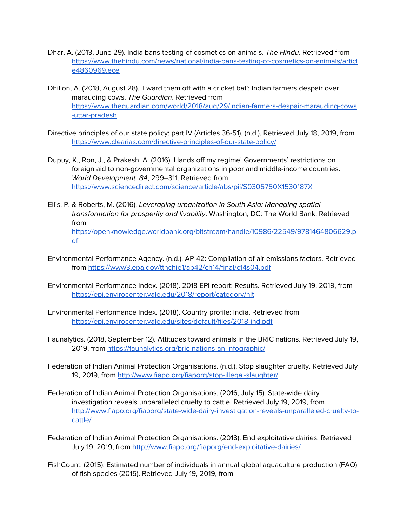- Dhar, A. (2013, June 29). India bans testing of cosmetics on animals. The Hindu. Retrieved from [https://www.thehindu.com/news/national/india-bans-testing-of-cosmetics-on-animals/articl](https://www.thehindu.com/news/national/india-bans-testing-of-cosmetics-on-animals/article4860969.ece) [e4860969.ece](https://www.thehindu.com/news/national/india-bans-testing-of-cosmetics-on-animals/article4860969.ece)
- Dhillon, A. (2018, August 28). 'I ward them off with a cricket bat': Indian farmers despair over marauding cows. The Guardian. Retrieved from [https://www.theguardian.com/world/2018/aug/29/indian-farmers-despair-marauding-cows](https://www.theguardian.com/world/2018/aug/29/indian-farmers-despair-marauding-cows-uttar-pradesh) [-uttar-pradesh](https://www.theguardian.com/world/2018/aug/29/indian-farmers-despair-marauding-cows-uttar-pradesh)
- Directive principles of our state policy: part IV (Articles 36-51). (n.d.). Retrieved July 18, 2019, from <https://www.clearias.com/directive-principles-of-our-state-policy/>
- Dupuy, K., Ron, J., & Prakash, A. (2016). Hands off my regime! Governments' restrictions on foreign aid to non-governmental organizations in poor and middle-income countries. World Development, 84, 299–311. Retrieved from <https://www.sciencedirect.com/science/article/abs/pii/S0305750X1530187X>
- Ellis, P. & Roberts, M. (2016). Leveraging urbanization in South Asia: Managing spatial transformation for prosperity and livability. Washington, DC: The World Bank. Retrieved from [https://openknowledge.worldbank.org/bitstream/handle/10986/22549/9781464806629.p](https://openknowledge.worldbank.org/bitstream/handle/10986/22549/9781464806629.pdf) [df](https://openknowledge.worldbank.org/bitstream/handle/10986/22549/9781464806629.pdf)
- Environmental Performance Agency. (n.d.). AP-42: Compilation of air emissions factors. Retrieved from <https://www3.epa.gov/ttnchie1/ap42/ch14/final/c14s04.pdf>
- Environmental Performance Index. (2018). 2018 EPI report: Results. Retrieved July 19, 2019, from <https://epi.envirocenter.yale.edu/2018/report/category/hlt>
- Environmental Performance Index. (2018). Country profile: India. Retrieved from <https://epi.envirocenter.yale.edu/sites/default/files/2018-ind.pdf>
- Faunalytics. (2018, September 12). Attitudes toward animals in the BRIC nations. Retrieved July 19, 2019, from <https://faunalytics.org/bric-nations-an-infographic/>
- Federation of Indian Animal Protection Organisations. (n.d.). Stop slaughter cruelty. Retrieved July 19, 2019, from <http://www.fiapo.org/fiaporg/stop-illegal-slaughter/>
- Federation of Indian Animal Protection Organisations. (2016, July 15). State-wide dairy investigation reveals unparalleled cruelty to cattle. Retrieved July 19, 2019, from [http://www.fiapo.org/fiaporg/state-wide-dairy-investigation-reveals-unparalleled-cruelty-to](http://www.fiapo.org/fiaporg/state-wide-dairy-investigation-reveals-unparalleled-cruelty-to-cattle/)[cattle/](http://www.fiapo.org/fiaporg/state-wide-dairy-investigation-reveals-unparalleled-cruelty-to-cattle/)
- Federation of Indian Animal Protection Organisations. (2018). End exploitative dairies. Retrieved July 19, 2019, from <http://www.fiapo.org/fiaporg/end-exploitative-dairies/>
- FishCount. (2015). Estimated number of individuals in annual global aquaculture production (FAO) of fish species (2015). Retrieved July 19, 2019, from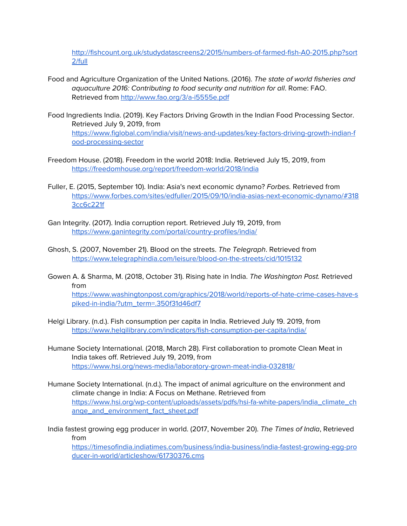[http://fishcount.org.uk/studydatascreens2/2015/numbers-of-farmed-fish-A0-2015.php?sort](http://fishcount.org.uk/studydatascreens2/2015/numbers-of-farmed-fish-A0-2015.php?sort2/full) [2/full](http://fishcount.org.uk/studydatascreens2/2015/numbers-of-farmed-fish-A0-2015.php?sort2/full)

- Food and Agriculture Organization of the United Nations. (2016). The state of world fisheries and aquaculture 2016: Contributing to food security and nutrition for all. Rome: FAO. Retrieved from <http://www.fao.org/3/a-i5555e.pdf>
- Food Ingredients India. (2019). Key Factors Driving Growth in the Indian Food Processing Sector. Retrieved July 9, 2019, from [https://www.figlobal.com/india/visit/news-and-updates/key-factors-driving-growth-indian-f](https://www.figlobal.com/india/visit/news-and-updates/key-factors-driving-growth-indian-food-processing-sector) [ood-processing-sector](https://www.figlobal.com/india/visit/news-and-updates/key-factors-driving-growth-indian-food-processing-sector)
- Freedom House. (2018). Freedom in the world 2018: India. Retrieved July 15, 2019, from <https://freedomhouse.org/report/freedom-world/2018/india>
- Fuller, E. (2015, September 10). India: Asia's next economic dynamo? Forbes. Retrieved from [https://www.forbes.com/sites/edfuller/2015/09/10/india-asias-next-economic-dynamo/#318](https://www.forbes.com/sites/edfuller/2015/09/10/india-asias-next-economic-dynamo/#3183cc6c221f) [3cc6c221f](https://www.forbes.com/sites/edfuller/2015/09/10/india-asias-next-economic-dynamo/#3183cc6c221f)
- Gan Integrity. (2017). India corruption report. Retrieved July 19, 2019, from <https://www.ganintegrity.com/portal/country-profiles/india/>
- Ghosh, S. (2007, November 21). Blood on the streets. The Telegraph. Retrieved from <https://www.telegraphindia.com/leisure/blood-on-the-streets/cid/1015132>
- Gowen A. & Sharma, M. (2018, October 31). Rising hate in India. The Washington Post. Retrieved from [https://www.washingtonpost.com/graphics/2018/world/reports-of-hate-crime-cases-have-s](https://www.washingtonpost.com/graphics/2018/world/reports-of-hate-crime-cases-have-spiked-in-india/?utm_term=.350f31d46df7) [piked-in-india/?utm\\_term=.350f31d46df7](https://www.washingtonpost.com/graphics/2018/world/reports-of-hate-crime-cases-have-spiked-in-india/?utm_term=.350f31d46df7)
- Helgi Library. (n.d.). Fish consumption per capita in India. Retrieved July 19. 2019, from <https://www.helgilibrary.com/indicators/fish-consumption-per-capita/india/>
- Humane Society International. (2018, March 28). First collaboration to promote Clean Meat in India takes off. Retrieved July 19, 2019, from <https://www.hsi.org/news-media/laboratory-grown-meat-india-032818/>
- Humane Society International. (n.d.). The impact of animal agriculture on the environment and climate change in India: A Focus on Methane. Retrieved from [https://www.hsi.org/wp-content/uploads/assets/pdfs/hsi-fa-white-papers/india\\_climate\\_ch](https://www.hsi.org/wp-content/uploads/assets/pdfs/hsi-fa-white-papers/india_climate_change_and_environment_fact_sheet.pdf) [ange\\_and\\_environment\\_fact\\_sheet.pdf](https://www.hsi.org/wp-content/uploads/assets/pdfs/hsi-fa-white-papers/india_climate_change_and_environment_fact_sheet.pdf)
- India fastest growing egg producer in world. (2017, November 20). The Times of India, Retrieved from

[https://timesofindia.indiatimes.com/business/india-business/india-fastest-growing-egg-pro](https://timesofindia.indiatimes.com/business/india-business/india-fastest-growing-egg-producer-in-world/articleshow/61730376.cms) [ducer-in-world/articleshow/61730376.cms](https://timesofindia.indiatimes.com/business/india-business/india-fastest-growing-egg-producer-in-world/articleshow/61730376.cms)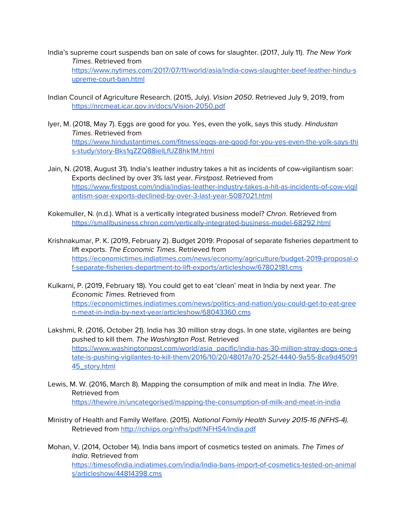- India's supreme court suspends ban on sale of cows for slaughter. (2017, July 11). The New York Times. Retrieved from [https://www.nytimes.com/2017/07/11/world/asia/india-cows-slaughter-beef-leather-hindu-s](https://www.nytimes.com/2017/07/11/world/asia/india-cows-slaughter-beef-leather-hindu-supreme-court-ban.html) [upreme-court-ban.html](https://www.nytimes.com/2017/07/11/world/asia/india-cows-slaughter-beef-leather-hindu-supreme-court-ban.html)
- Indian Council of Agriculture Research. (2015, July). Vision 2050. Retrieved July 9, 2019, from <https://nrcmeat.icar.gov.in/docs/Vision-2050.pdf>
- Iyer, M. (2018, May 7). Eggs are good for you. Yes, even the yolk, says this study. Hindustan Times. Retrieved from [https://www.hindustantimes.com/fitness/eggs-are-good-for-you-yes-even-the-yolk-says-thi](https://www.hindustantimes.com/fitness/eggs-are-good-for-you-yes-even-the-yolk-says-this-study/story-Bks1qZZQ88ielLfUZ8hk1M.html) [s-study/story-Bks1qZZQ88ielLfUZ8hk1M.html](https://www.hindustantimes.com/fitness/eggs-are-good-for-you-yes-even-the-yolk-says-this-study/story-Bks1qZZQ88ielLfUZ8hk1M.html)
- Jain, N. (2018, August 31). India's leather industry takes a hit as incidents of cow-vigilantism soar: Exports declined by over 3% last year. Firstpost. Retrieved from [https://www.firstpost.com/india/indias-leather-industry-takes-a-hit-as-incidents-of-cow-vigil](https://www.firstpost.com/india/indias-leather-industry-takes-a-hit-as-incidents-of-cow-vigilantism-soar-exports-declined-by-over-3-last-year-5087021.html) [antism-soar-exports-declined-by-over-3-last-year-5087021.html](https://www.firstpost.com/india/indias-leather-industry-takes-a-hit-as-incidents-of-cow-vigilantism-soar-exports-declined-by-over-3-last-year-5087021.html)
- Kokemuller, N. (n.d.). What is a vertically integrated business model? Chron. Retrieved from <https://smallbusiness.chron.com/vertically-integrated-business-model-68292.html>
- Krishnakumar, P. K. (2019, February 2). Budget 2019: Proposal of separate fisheries department to lift exports. The Economic Times. Retrieved from [https://economictimes.indiatimes.com/news/economy/agriculture/budget-2019-proposal-o](https://economictimes.indiatimes.com/news/economy/agriculture/budget-2019-proposal-of-separate-fisheries-department-to-lift-exports/articleshow/67802181.cms) [f-separate-fisheries-department-to-lift-exports/articleshow/67802181.cms](https://economictimes.indiatimes.com/news/economy/agriculture/budget-2019-proposal-of-separate-fisheries-department-to-lift-exports/articleshow/67802181.cms)
- Kulkarni, P. (2019, February 18). You could get to eat 'clean' meat in India by next year. The Economic Times. Retrieved from [https://economictimes.indiatimes.com/news/politics-and-nation/you-could-get-to-eat-gree](https://economictimes.indiatimes.com/news/politics-and-nation/you-could-get-to-eat-green-meat-in-india-by-next-year/articleshow/68043360.cms) [n-meat-in-india-by-next-year/articleshow/68043360.cms](https://economictimes.indiatimes.com/news/politics-and-nation/you-could-get-to-eat-green-meat-in-india-by-next-year/articleshow/68043360.cms)
- Lakshmi, R. (2016, October 21). India has 30 million stray dogs. In one state, vigilantes are being pushed to kill them. The Washington Post. Retrieved [https://www.washingtonpost.com/world/asia\\_pacific/india-has-30-million-stray-dogs-one-s](https://www.washingtonpost.com/world/asia_pacific/india-has-30-million-stray-dogs-one-state-is-pushing-vigilantes-to-kill-them/2016/10/20/48017a70-252f-4440-9a55-8ca9d4509145_story.html) [tate-is-pushing-vigilantes-to-kill-them/2016/10/20/48017a70-252f-4440-9a55-8ca9d45091](https://www.washingtonpost.com/world/asia_pacific/india-has-30-million-stray-dogs-one-state-is-pushing-vigilantes-to-kill-them/2016/10/20/48017a70-252f-4440-9a55-8ca9d4509145_story.html) [45\\_story.html](https://www.washingtonpost.com/world/asia_pacific/india-has-30-million-stray-dogs-one-state-is-pushing-vigilantes-to-kill-them/2016/10/20/48017a70-252f-4440-9a55-8ca9d4509145_story.html)
- Lewis, M. W. (2016, March 8). Mapping the consumption of milk and meat in India. The Wire. Retrieved from <https://thewire.in/uncategorised/mapping-the-consumption-of-milk-and-meat-in-india>
- Ministry of Health and Family Welfare. (2015). National Family Health Survey 2015-16 (NFHS-4). Retrieved from <http://rchiips.org/nfhs/pdf/NFHS4/India.pdf>
- Mohan, V. (2014, October 14). India bans import of cosmetics tested on animals. The Times of India. Retrieved from [https://timesofindia.indiatimes.com/india/India-bans-import-of-cosmetics-tested-on-animal](https://timesofindia.indiatimes.com/india/India-bans-import-of-cosmetics-tested-on-animals/articleshow/44814398.cms) [s/articleshow/44814398.cms](https://timesofindia.indiatimes.com/india/India-bans-import-of-cosmetics-tested-on-animals/articleshow/44814398.cms)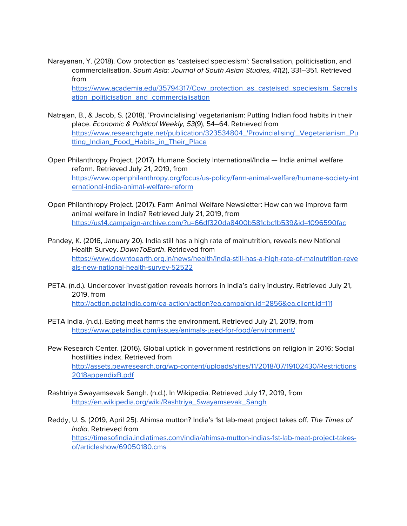Narayanan, Y. (2018). Cow protection as 'casteised speciesism': Sacralisation, politicisation, and commercialisation. South Asia: Journal of South Asian Studies, 41(2), 331–351. Retrieved from

[https://www.academia.edu/35794317/Cow\\_protection\\_as\\_casteised\\_speciesism\\_Sacralis](https://www.academia.edu/35794317/Cow_protection_as_casteised_speciesism_Sacralisation_politicisation_and_commercialisation) [ation\\_politicisation\\_and\\_commercialisation](https://www.academia.edu/35794317/Cow_protection_as_casteised_speciesism_Sacralisation_politicisation_and_commercialisation)

- Natrajan, B., & Jacob, S. (2018). 'Provincialising' vegetarianism: Putting Indian food habits in their place. Economic & Political Weekly, 53(9), 54–64. Retrieved from [https://www.researchgate.net/publication/323534804\\_'Provincialising'\\_Vegetarianism\\_Pu](https://www.researchgate.net/publication/323534804_) [tting\\_Indian\\_Food\\_Habits\\_in\\_Their\\_Place](https://www.researchgate.net/publication/323534804_)
- Open Philanthropy Project. (2017). Humane Society International/India India animal welfare reform. Retrieved July 21, 2019, from [https://www.openphilanthropy.org/focus/us-policy/farm-animal-welfare/humane-society-int](https://www.openphilanthropy.org/focus/us-policy/farm-animal-welfare/humane-society-international-india-animal-welfare-reform) [ernational-india-animal-welfare-reform](https://www.openphilanthropy.org/focus/us-policy/farm-animal-welfare/humane-society-international-india-animal-welfare-reform)
- Open Philanthropy Project. (2017). Farm Animal Welfare Newsletter: How can we improve farm animal welfare in India? Retrieved July 21, 2019, from <https://us14.campaign-archive.com/?u=66df320da8400b581cbc1b539&id=1096590fac>
- Pandey, K. (2016, January 20). India still has a high rate of malnutrition, reveals new National Health Survey. DownToEarth. Retrieved from [https://www.downtoearth.org.in/news/health/india-still-has-a-high-rate-of-malnutrition-reve](https://www.downtoearth.org.in/news/health/india-still-has-a-high-rate-of-malnutrition-reveals-new-national-health-survey-52522) [als-new-national-health-survey-52522](https://www.downtoearth.org.in/news/health/india-still-has-a-high-rate-of-malnutrition-reveals-new-national-health-survey-52522)
- PETA. (n.d.). Undercover investigation reveals horrors in India's dairy industry. Retrieved July 21, 2019, from <http://action.petaindia.com/ea-action/action?ea.campaign.id=2856&ea.client.id=111>
- PETA India. (n.d.). Eating meat harms the environment. Retrieved July 21, 2019, from <https://www.petaindia.com/issues/animals-used-for-food/environment/>
- Pew Research Center. (2016). Global uptick in government restrictions on religion in 2016: Social hostilities index. Retrieved from [http://assets.pewresearch.org/wp-content/uploads/sites/11/2018/07/19102430/Restrictions](http://assets.pewresearch.org/wp-content/uploads/sites/11/2018/07/19102430/Restrictions2018appendixB.pdf) [2018appendixB.pdf](http://assets.pewresearch.org/wp-content/uploads/sites/11/2018/07/19102430/Restrictions2018appendixB.pdf)
- Rashtriya Swayamsevak Sangh. (n.d.). In Wikipedia. Retrieved July 17, 2019, from [https://en.wikipedia.org/wiki/Rashtriya\\_Swayamsevak\\_Sangh](https://en.wikipedia.org/wiki/Rashtriya_Swayamsevak_Sangh)
- Reddy, U. S. (2019, April 25). Ahimsa mutton? India's 1st lab-meat project takes off. The Times of India. Retrieved from [https://timesofindia.indiatimes.com/india/ahimsa-mutton-indias-1st-lab-meat-project-takes](https://timesofindia.indiatimes.com/india/ahimsa-mutton-indias-1st-lab-meat-project-takes-of/articleshow/69050180.cms)[of/articleshow/69050180.cms](https://timesofindia.indiatimes.com/india/ahimsa-mutton-indias-1st-lab-meat-project-takes-of/articleshow/69050180.cms)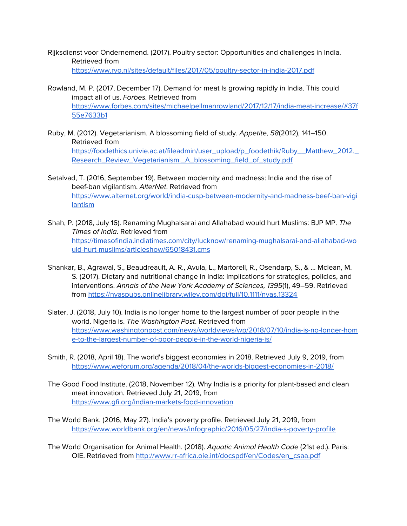Rijksdienst voor Ondernemend. (2017). Poultry sector: Opportunities and challenges in India. Retrieved from <https://www.rvo.nl/sites/default/files/2017/05/poultry-sector-in-india-2017.pdf>

- Rowland, M. P. (2017, December 17). Demand for meat Is growing rapidly in India. This could impact all of us. Forbes. Retrieved from [https://www.forbes.com/sites/michaelpellmanrowland/2017/12/17/india-meat-increase/#37f](https://www.forbes.com/sites/michaelpellmanrowland/2017/12/17/india-meat-increase/#37f55e7633b1) [55e7633b1](https://www.forbes.com/sites/michaelpellmanrowland/2017/12/17/india-meat-increase/#37f55e7633b1)
- Ruby, M. (2012). Vegetarianism. A blossoming field of study. Appetite, 58(2012), 141–150. Retrieved from [https://foodethics.univie.ac.at/fileadmin/user\\_upload/p\\_foodethik/Ruby\\_\\_Matthew\\_2012.\\_](https://foodethics.univie.ac.at/fileadmin/user_upload/p_foodethik/Ruby__Matthew_2012._Research_Review_Vegetarianism._A_blossoming_field_of_study.pdf) [Research\\_Review\\_Vegetarianism.\\_A\\_blossoming\\_field\\_of\\_study.pdf](https://foodethics.univie.ac.at/fileadmin/user_upload/p_foodethik/Ruby__Matthew_2012._Research_Review_Vegetarianism._A_blossoming_field_of_study.pdf)
- Setalvad, T. (2016, September 19). Between modernity and madness: India and the rise of beef-ban vigilantism. AlterNet. Retrieved from [https://www.alternet.org/world/india-cusp-between-modernity-and-madness-beef-ban-vigi](https://www.alternet.org/world/india-cusp-between-modernity-and-madness-beef-ban-vigilantism) **[lantism](https://www.alternet.org/world/india-cusp-between-modernity-and-madness-beef-ban-vigilantism)**
- Shah, P. (2018, July 16). Renaming Mughalsarai and Allahabad would hurt Muslims: BJP MP. The Times of India. Retrieved from [https://timesofindia.indiatimes.com/city/lucknow/renaming-mughalsarai-and-allahabad-wo](https://timesofindia.indiatimes.com/city/lucknow/renaming-mughalsarai-and-allahabad-would-hurt-muslims/articleshow/65018431.cms) [uld-hurt-muslims/articleshow/65018431.cms](https://timesofindia.indiatimes.com/city/lucknow/renaming-mughalsarai-and-allahabad-would-hurt-muslims/articleshow/65018431.cms)
- Shankar, B., Agrawal, S., Beaudreault, A. R., Avula, L., Martorell, R., Osendarp, S., & … Mclean, M. S. (2017). Dietary and nutritional change in India: implications for strategies, policies, and interventions. Annals of the New York Academy of Sciences, 1395(1), 49-59. Retrieved from <https://nyaspubs.onlinelibrary.wiley.com/doi/full/10.1111/nyas.13324>
- Slater, J. (2018, July 10). India is no longer home to the largest number of poor people in the world. Nigeria is. The Washington Post. Retrieved from [https://www.washingtonpost.com/news/worldviews/wp/2018/07/10/india-is-no-longer-hom](https://www.washingtonpost.com/news/worldviews/wp/2018/07/10/india-is-no-longer-home-to-the-largest-number-of-poor-people-in-the-world-nigeria-is/?utm_term=.8da09818ed47) [e-to-the-largest-number-of-poor-people-in-the-world-nigeria-is/](https://www.washingtonpost.com/news/worldviews/wp/2018/07/10/india-is-no-longer-home-to-the-largest-number-of-poor-people-in-the-world-nigeria-is/?utm_term=.8da09818ed47)
- Smith, R. (2018, April 18). The world's biggest economies in 2018. Retrieved July 9, 2019, from <https://www.weforum.org/agenda/2018/04/the-worlds-biggest-economies-in-2018/>
- The Good Food Institute. (2018, November 12). Why India is a priority for plant-based and clean meat innovation. Retrieved July 21, 2019, from <https://www.gfi.org/indian-markets-food-innovation>
- The World Bank. (2016, May 27). India's poverty profile. Retrieved July 21, 2019, from <https://www.worldbank.org/en/news/infographic/2016/05/27/india-s-poverty-profile>

The World Organisation for Animal Health. (2018). Aquatic Animal Health Code (21st ed.). Paris: OIE. Retrieved from [http://www.rr-africa.oie.int/docspdf/en/Codes/en\\_csaa.pdf](http://www.rr-africa.oie.int/docspdf/en/Codes/en_csaa.pdf)